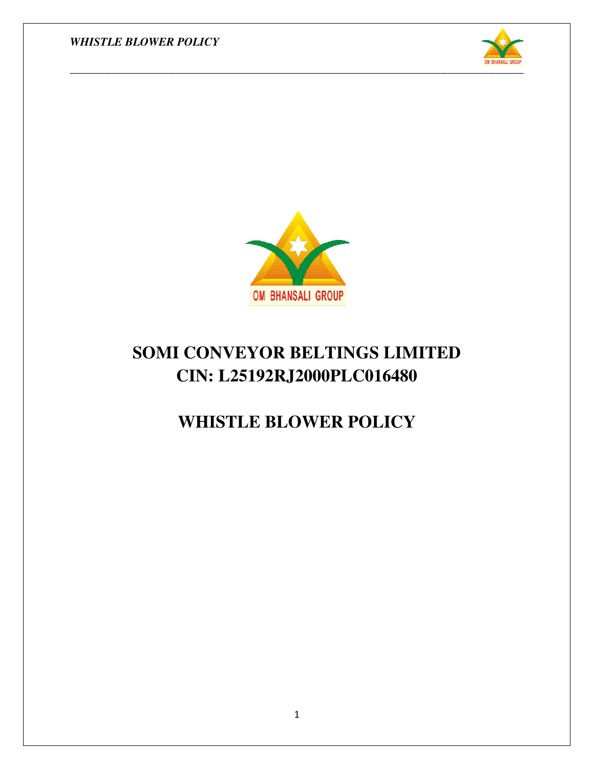



## **SOMI CONVEYOR BELTINGS LIMITED CIN: L25192RJ2000PLC016480**

### **WHISTLE BLOWER POLICY WHISTLE BLOWER**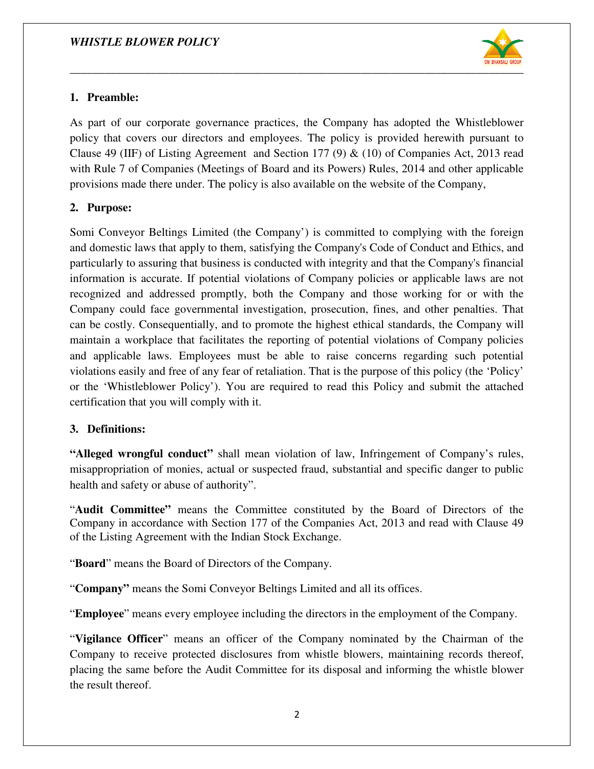

#### **1. Preamble:**

As part of our corporate governance practices, the Company has adopted the Whistleblower policy that covers our directors and employees. The policy is provided herewith pursuant to Clause 49 (IIF) of Listing Agreement and Section 177 (9)  $\&$  (10) of Companies Act, 2013 read with Rule 7 of Companies (Meetings of Board and its Powers) Rules, 2014 and other applicable with Rule 7 of Companies (Meetings of Board and its Powers) Rules, 2014 and other app provisions made there under. The policy is also available on the website of the Company, of our corporate governance practices, the Company has adopted the Whistleblower<br>at covers our directors and employees. The policy is provided herewith pursuant to<br>9 (IIF) of Listing Agreement and Section 177 (9) & (10) o

#### **2. Purpose:**

Somi Conveyor Beltings Limited (the Company') is committed to complying with the foreign and domestic laws that apply to them, satisfying the Company's Code of Conduct and Ethics, and particularly to assuring that business is conducted with integrity and that the Company's financial information is accurate. If potential violations of Company policies or applicable laws are not recognized and addressed promptly, both the Company and those working for or with the Company could face governmental investigation, prosecution, fines, and other penalties. That can be costly. Consequentially, and to promote the highest ethical standards, the Company will maintain a workplace that facilitates the reporting of potential violations of Company policies and applicable laws. Employees must be able to raise concerns regarding such potential violations easily and free of any fear of retaliation. That is the purpose of this policy (the 'Policy' or the 'Whistleblower Policy'). You are required to read this Policy and submit the attached certification that you will comply w domestic laws that apply to them, satisfying the Company's Code of Conduct and Ethics, and icularly to assuring that business is conducted with integrity and that the Company's financial rmation is accurate. If potential v violations easily and free of any fear of re<br>or the 'Whistleblower Policy'). You are<br>certification that you will comply with it. ting Agreement and Section 177 (9) & (10) of Companies Act, 2013 read<br>
mics (Meetings of Board and its Powers) Rules, 2014 and other applicable<br>
under. The policy is also available on the website of the Company,<br>
mgs Limi eltings Limited (the Company') is committed to complying with<br>that apply to them, satisfying the Company's Code of Conduct and<br>tring that business is conducted with integrity and that the Company<br>urate. If potential violat

#### **3. Definitions:**

**"Alleged wrongful conduct"** shall mean violation of law, Infringement of Company's rules, misappropriation of monies, actual or suspected fraud, substantial and specific danger to public health and safety or abuse of authority". conduct" shall mean violation of law, Infringement of Company's<br>monies, actual or suspected fraud, substantial and specific danger to p<br>buse of authority".<br>"
means the Committee constituted by the Board of Directors of<br>nce

"**Audit Committee"** means the Committee constituted by the Board of Directors of the Company in accordance with Section 177 of the Companies Act, 2013 and read with Clause 49 of the Listing Agreement with the Indian Stock Exchange.

"**Board**" means the Board of Directors of the Company.

"Company" means the Somi Conveyor Beltings Limited and all its offices.

"Employee" means every employee including the directors in the employment of the Company.

"Vigilance Officer" means an officer of the Company nominated by the Chairman of the Company to receive protected disclosures from whistle blowers, maintaining records thereof, placing the same before the Audit Committee for its disposal and informing the whistle blower the result thereof.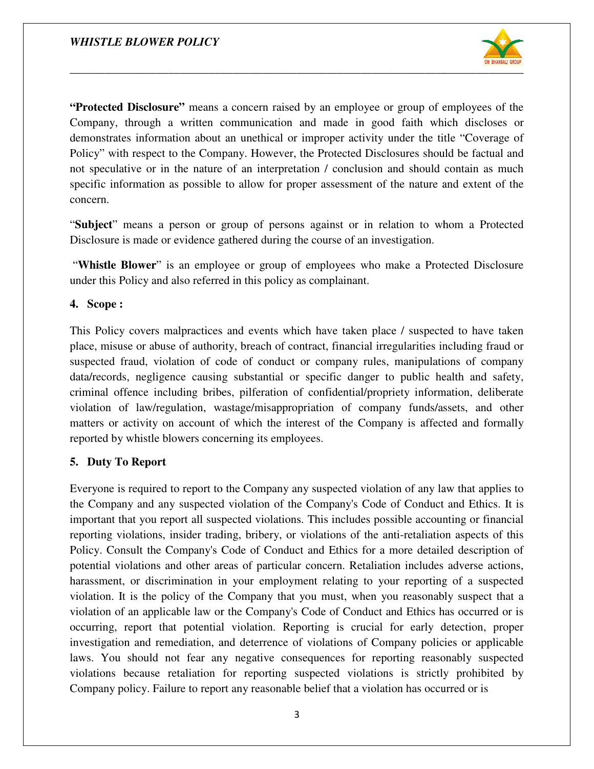

**"Protected Disclosure"** means a concern raised by an employee or group of employees of the Company, through a written communication and made in good faith which discloses or demonstrates information about an unethical or improper activity under the title "Coverage of Policy" with respect to the Company. However, the Protected Disclosures should be factual and not speculative or in the nature of an interpretation / conclusion and should contain as much Company, through a written communication and made in good faith which disclosed emonstrates information about an unethical or improper activity under the title "Covera Policy" with respect to the Company. However, the Prot concern.

"**Subject**" means a person or group of persons against or in relation to whom a Protected Disclosure is made or evidence gathered during the course of an investigation.

"Whistle Blower" is an employee or group of employees who make a Protected Disclosure under this Policy and also referred in this policy as complainant. ans a person or group of persons against or in relation to whom a Protected<br>made or evidence gathered during the course of an investigation.<br>wer" is an employee or group of employees who make a Protected Disclosure<br>cy and

#### **4. Scope :**

This Policy covers malpractices and events which have taken place / suspected to have taken place, misuse or abuse of authority, breach of contract, financial suspected fraud, violation of code of conduct or company rules, manipulations of company data/records, negligence causing substantial or specific danger to public health and safety, criminal offence including bribes, pilferation of confidential/propriety information, deliberate violation of law/regulation, wastage/misappropriation of company funds/assets, and other matters or activity on account of which the interest of the Company is affected and formally reported by whistle blowers concerning i matters or activity on account of which the interest of the Company is affected and formally reported by whistle blowers concerning its employees. of code of conduct or company rules, manipulations of company<br>using substantial or specific danger to public health and safety,<br>bribes, pilferation of confidential/propriety information, deliberate

#### **5. Duty To Report**

Everyone is required to report to the Company any suspected violation of any law that applies to the Company and any suspected violation of the Company's Code of Conduct and Ethics. It is important that you report all suspected violations. This includes possible accounting or financial Everyone is required to report to the Company any suspected violation of any law that applies to the Company and any suspected violation of the Company's Code of Conduct and Ethics. It is important that you report all susp Policy. Consult the Company's Code of Conduct and Ethics for a more detailed description of potential violations and other areas of particular concern. Retaliation includes adverse actions, harassment, or discrimination in your employment relating to your reporting of a suspected potential violations and other areas of particular concern. Retaliation includes adverse actions, harassment, or discrimination in your employment relating to your reporting of a suspected violation. It is the policy of th violation of an applicable law or the Company's Code of Conduct and Ethics has occurred or is occurring, report that potential violation. Reporting is crucial for early detection, proper investigation and remediation, and deterrence of violations of Company policies or applicable laws. You should not fear any negative consequences for reporting reasonably suspected violations because retaliation for reporting suspected violations is strictly prohibited by Company policy. Failure to report any reasonable belief that a violation has occurred or is **Protected Disclosur<sup>o</sup>** means a concern raised by an employee or group of employees of the<br>Company, through a wittern communication and mathe in good faith which discloses or company. Through condemostation induct an unc is, misuse or abuse of authority, breach of contract, financial irregularities including fraud recected fraud, violation of code of conduct or company rules, manipulations of compactered fraud, including bribes, pilferatio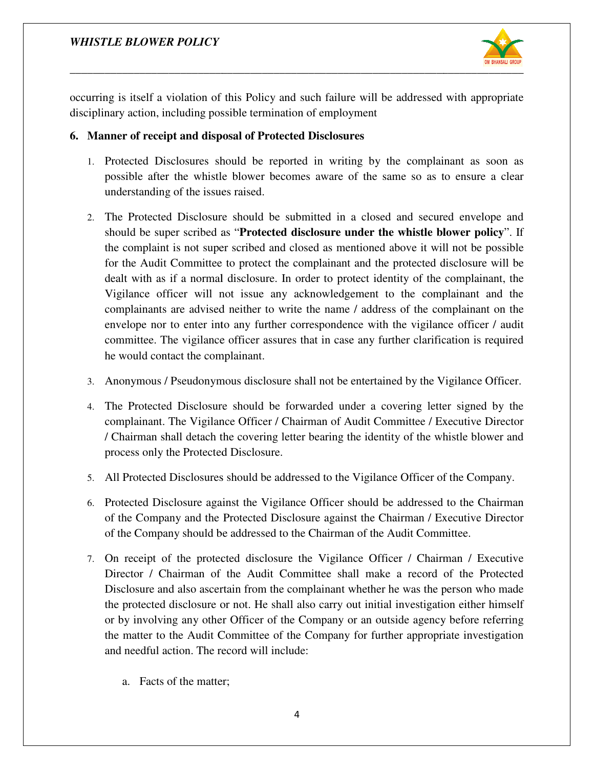

occurring is itself a violation of this Policy and such failure will be addressed with appropriate disciplinary action, including possible termination of employment

#### **6. Manner of receipt and disposal of Protected Disclosures disposal of Protected**

- 1. Protected Disclosures should be reported in writing by the complainant as soon as possible after the whistle blower becomes aware of the same so as to ensure a clear understanding of the issues raised Disclosures should be reported in writing by the complainant as socafter the whistle blower becomes aware of the same so as to ensure a raised.
- 2. The Protected Disclosure should be submitted in a closed and secured envelope and should be super scribed as " **Protected disclosure under the whistle blower policy** the complaint is not super scribed and closed as mentioned above it will not be possible for the Audit Committee to protect the complainant and the protected disclosure will be dealt with as if a normal disclosure. In order to protect identity of the complainant, the Vigilance officer will not issue any acknowledgement to the complainant and the complainants are advised neither to write the name / address of the complainant on the envelope nor to enter into any further correspondence with the vigilance officer / audit committee. The vigilance officer assures that in case any further clarification is required he would contact the complainant. e Audit Committee to protect the complainant and the protected disclosure will be with as if a normal disclosure. In order to protect identity of the complainant, the nnce officer will not issue any acknowledgement to the be nor to enter into any further correspondence with the vigilance officer / audit inittee. The vigilance officer assures that in case any further clarification is required ould contact the complainant.<br>
Development of the and be super scribed as "Protected alselosure under the whistle blower policy". If complaint is not suger scribed and closed as mentioned above it will no be possible twith as if a normal disclosure. In order to protect id
- 3. Anonymous / Pseudonymous disclosure shall not be entertained by the Vigilance Officer.
- 4. The Protected Disclosure should be forwarded under a covering letter signed by the complainant. The Vigilance Officer / Chairman of Audit Committee / Executive Director / Chairman shall detach the covering letter bearing the identity of the whistle blower and process only the Protected Disclosure. % complainant. The Vigilance Officer / Chairman of Audit Committee / Executive Directo<br>
1 Chairman shall detach the covering letter bearing the identity of the whistle blower an<br>
process only the Protected Disclosure.<br>
5.
- 
- 6. Protected Disclosure against the Vigilance Officer should be addressed to the Chairman of the Company and the Protected Disclosure against the Chairman / Executive Director of the Company should be addressed to the Chairman of the Audit Committee.
- 7. On receipt of the protected disclosure the Vigilance Officer / Chairman / Executive Director / Chairman of the Audit Committee shall make a record of the Protected Disclosure and also ascertain from the complainant whether he was the person who made the protected disclosure or not. He shall also carry out initial investigation either himself or by involving any other Officer of the Company or an outside agency before referring the matter to the Audit Committee of the Company for further appropriate investigation and needful action. The record will include:
	- a. Facts of the matter;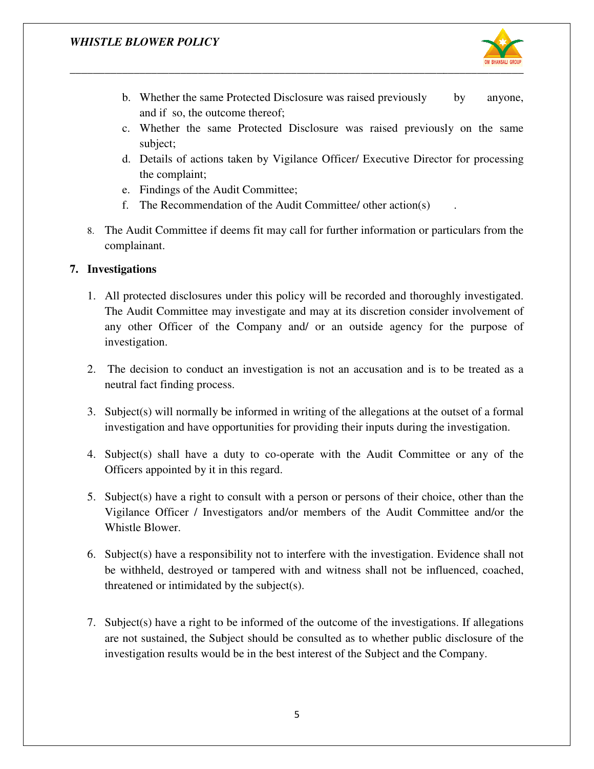

.

- b. Whether the same Protected Disclosure was raised previously and if so, the outcome thereof;
- c. Whether the same Protected Disclosure was raised previously on the same subject;
- d. Details of actions taken by Vigilance Officer/ Executive Director for processing the complaint; he same Protected Disclosure was raised previously on the same<br>actions taken by Vigilance Officer/ Executive Director for processing<br>int;<br>f the Audit Committee;<br>mendation of the Audit Committee/ other action(s)<br>ttee if dee
- e. Findings of the Audit Committee;
- f. The Recommendation of the Audit Committee/ other action(s)
- 8. The Audit Committee if deems fit may call for further complainant.

#### **7. Investigations**

- 1. All protected disclosures under this policy will be recorded and thoroughly investigated. The Audit Committee may investigate and may at its discretion consider involvement of any other Officer of the Company and/ or an outside agency for the purpose of investigation.<br>The decision to conduct an investigation is not an accusation and is to be treated as a investigation. b. Whicher the same Protocted Disclosure was raised previously by anyone, and if so, the outcome thereof; Disclosure was raised previously on the same subject; C. Whether the same Protected Disclosure was raised previousl
- 2. The decision to conduct an investigation is not an accusation and is to be treated as a neutral fact finding process.
- 3. Subject(s) will normally be informed in writing of the allegations at the outset of a formal investigation and have opportunities for providing their inputs during the investigation.
- 4. Subject(s) shall have a duty to co-operate with the Audit Committee or any of the Officers appointed by it in this regard.
- 5. Subject(s) have a right to consult with a person or persons of their choice, other than the Vigilance Officer / Investigators and/or members of the Audit Committee and/or the Whistle Blower. 5. Subject(s) have a right to consult with a person or persons of their choice, other than the Vigilance Officer / Investigators and/or members of the Audit Committee and/or the Whistle Blower.<br>6. Subject(s) have a respons the and may at its discretion consider involvement<br>
the purpose<br>
ation is not an accusation and is to be treated a<br>
in writing of the allegations at the outset of a form<br>
or providing their inputs during the investigation<br>
- be withheld, destroyed or tampered with and witness shall not be influenced, coached, threatened or intimidated by the subject(s).
- 7. Subject(s) have a right to be informed of the outcome of the investigations. If allegations are not sustained, the Subject should be consulted as to whether public disclosure of the investigation results would be in the best interest of the Subject and the Company.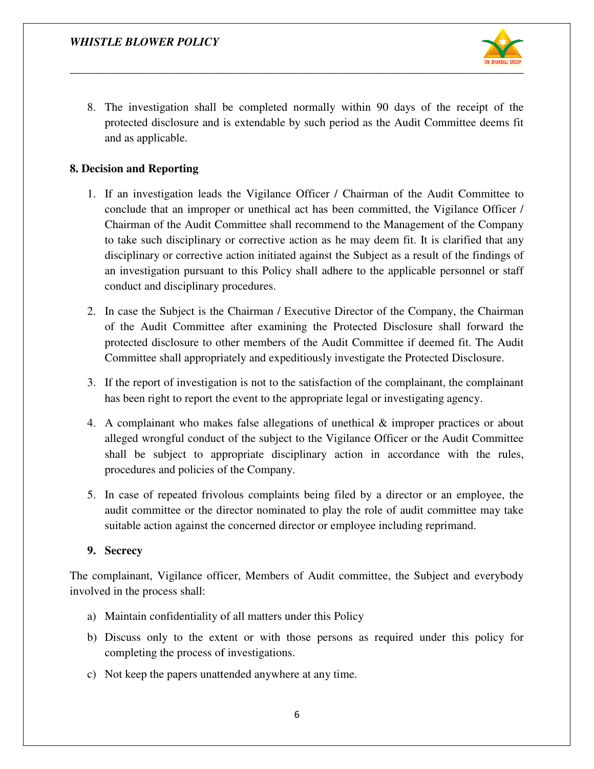

8. The investigation shall be completed normally within 90 days of the receipt of the protected disclosure and is extendable by such period as the Audit Committee deems fit and as applicable. be disclosure and is extendable by such period as the Audit Committee deems fit<br>plicable.<br>**Reporting**<br>estigation leads the Vigilance Officer / Chairman of the Audit Committee to<br>that an improper or unethical act has been c

#### **8. Decision and Reporting**

- 1. If an investigation leads the Vigilance Officer / Chairman of the Audit Committee to conclude that an improper or unethical act has been committed, the Vigilance Officer / Chairman of the Audit Committee shall recommend to the Management of the Company to take such disciplinary or corrective action as he may deem fit. It is clarified that any Chairman of the Audit Committee shall recommend to the Management of the Company<br>to take such disciplinary or corrective action as he may deem fit. It is clarified that any<br>disciplinary or corrective action initiated again an investigation pursuant to this Policy shall adhere to the applicable personnel or staff<br>conduct and disciplinary procedures.<br>In case the Subject is the Chairman / Executive Director of the Company, the Chairman conduct and disciplinary procedures. r unethical act has been committed, the Vigilance Officer /<br>inittee shall recommend to the Management of the Company<br>corrective action as he may deem fit. It is clarified that any<br>ion initiated against the Subject as a res
- 2. In case the Subject is the Chairman / Executive Director of the Company, the Chairman of the Audit Committee after examining the Protected Disclosure shall forward the protected disclosure to other members of the Audit Committee if deemed fit. The Audit of the Audit Committee after examining the Protected Disclosure shall forward<br>protected disclosure to other members of the Audit Committee if deemed fit. The A<br>Committee shall appropriately and expeditiously investigate th
- 3. If the report of investigation is not to the satisfaction of the complainant, the complainant has been right to report the event to the appropriate legal or investigating agency.<br>4. A complainant who makes false allegat has been right to report the event to the appropriate legal or investigating agency.
- 4. A complainant who makes false allegations of unethical  $\&$  improper practices or about alleged wrongful conduct of the subject to the Vigilance Officer or the Audit Committee shall be subject to appropriate disciplinary action in accordance with the rules, procedures and policies of the Company. procedures and policies of the Company.
- 5. In case of repeated frivolous complaints being filed by a director or an employee, the audit committee or the director nominated to play the role of audit committee may take suitable action against the concerned director or employee including reprimand. In case of repeated frivolous complaints being filed by a director or an employee,<br>audit committee or the director nominated to play the role of audit committee may t<br>suitable action against the concerned director or emplo

#### **9. Secrecy**

The complainant, Vigilance officer, Members of Audit committee, the Subject and everybody involved in the process shall:

- a) Maintain confidentiality of all matters under this Policy
- b) Discuss only to the extent or with those persons as required under this policy fo completing the process of investigations.
- c) Not keep the papers unattended anywhere at any time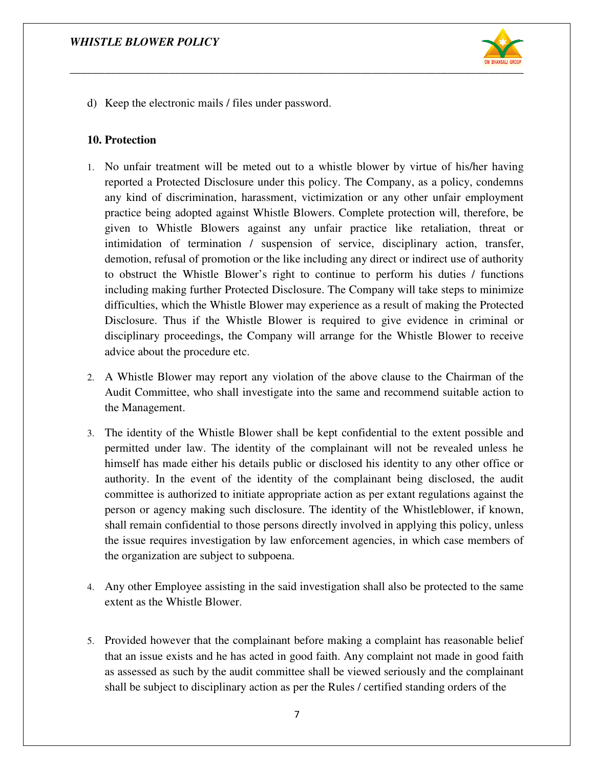

d) Keep the electronic mails / files under password.

#### **10. Protection**

- 1. No unfair treatment will be meted out to a whistle blower by virtue of his/her having reported a Protected Disclosure under this policy. The Company, as a policy, condemns any kind of discrimination, harassment, victimization or any other unfair employment practice being adopted against Whistle Blowers. Complete protection will, therefore, be given to Whistle Blowers against any unfair practice like retaliation, threat or intimidation of termination / suspension of service, disciplinary action, transfer, demotion, refusal of promotion or the like including any direct or indirect use of authority to obstruct the Whistle Blower's right to continue to perform his duties / functions including making further Protected Disclosure. The Company will take steps to minimize difficulties, which the Whistle Blower may experience as a result of making the Protecte Disclosure. Thus if the Whistle Blower is required to give evidence in criminal or disciplinary proceedings, the Company will arrange for the Whistle Blower to receive advice about the procedure etc. unfair treatment will be meted out to a whistle blower by virtue of his/her having<br>rted a Protected Disclosure under this policy. The Company, as a policy, condemns<br>kind of discrimination, harassment, victimization or any
- 2. A Whistle Blower may report any violation of the above clause to the Chairman of the Audit Committee, who shall investigate into the same and recommend suitable action to the Management.
- 3. The identity of the Whistle Blower shall be kept confidential to the extent possible and permitted under law. The identity of the complainant will not be revealed unless he himself has made either his details public or disclosed his identity to any other office or authority. In the event of the identity of the complainant being disclosed, the audit committee is authorized to initiate appropriate action as per extant regulations against the person or agency making such disclosure. The identity of the Whistleblower, if known, shall remain confidential to those persons directly involved in applying this policy, unless the issue requires investigation by law enforcement agencies, in which case members of the organization are subject to subpoena. Committee, who shall investigate into the same and recommend suitable action to<br>nagement.<br>entity of the Whistle Blower shall be kept confidential to the extent possible and<br>ted under law. The identity of the complainant wi either his details public or disclosed his identity to any other office or event of the identity of the complainant being disclosed, the audit orized to initiate appropriate action as per extant regulations against the person or agency making such disclosure. The identity of the Whistleblower, if known, shall remain confidential to those persons directly involved in applying this policy, unless the issue requires investigation by law enf This the Whistle Blower may experience as a result of making the Protected Thus if the Whistle Blower is required to give evidence in criminal or proceedings, the Company will arrange for the Whistle Blower to receive the ort any violation of the above clause to the Chairman of the<br>
1 investigate into the same and recommend suitable action to<br>
Blower shall be kept confidential to the extent possible and<br>
identity of the complainant will not
- 4. Any other Employee assisting in the said investigation shall also be protected to the same extent as the Whistle Blower.
- 5. Provided however that the complainant before making a complaint has reasonable belief that an issue exists and he has acted in good faith. Any complaint not made in good faith as assessed as such by the audit committee shall be viewed seriously and the com shall be subject to disciplinary action as per the Rules / certified standing orders of the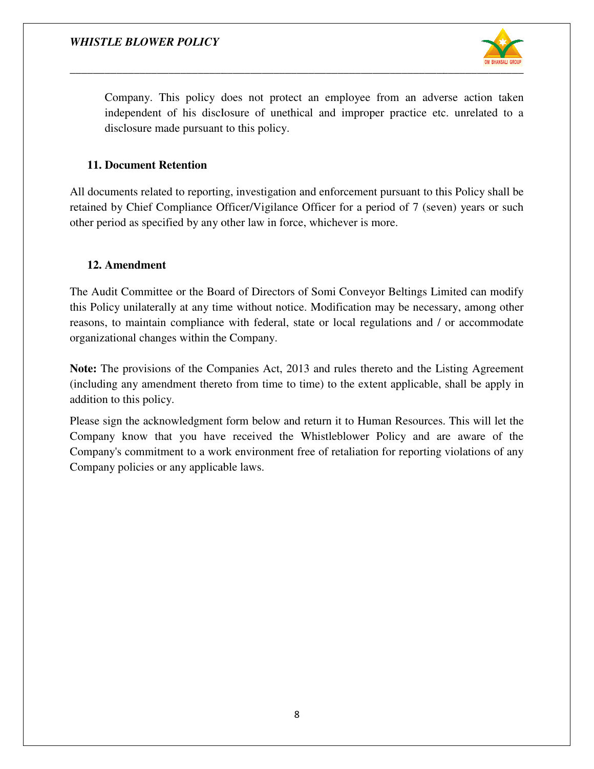

Company. This policy does not protect an employee from an adverse action taken independent of his disclosure of unethical and improper practice etc. disclosure made pursuant to this policy. his policy does not protect an employee from an adverse of his disclosure of unethical and improper practice etc. u<br>de pursuant to this policy. unrelated to a

#### **11. Document Retention**

All documents related to reporting, investigation and enforcement pursuant to this Policy shall be All documents related to reporting, investigation and enforcement pursuant to this Policy shall be retained by Chief Compliance Officer/Vigilance Officer for a period of 7 (seven) years or such other period as specified by any other law in force, whichever is more.

#### **12. Amendment**

The Audit Committee or the Board of Directors of Somi Conveyor Beltings Limited can modify this Policy unilaterally at any time without notice. Modification may be necessary, among other reasons, to maintain compliance with federal, state or local regulations and / or accommodate organizational changes within the Company.

**Note:** The provisions of the Companies Act, 2013 and rules thereto and the Listing Agreement (including any amendment thereto from time to time) to the extent applicable, shall be apply in addition to this policy. this Policy unilaterally at any time without notice. Modification may be necessary, among other reasons, to maintain compliance with federal, state or local regulations and / or accommodate organizational changes within th

Please sign the acknowledgment form below and return it to Human Resources. This will let the Company know that you have received the Whistleblower Policy and are aware of the Company's commitment to a work environment free of retaliation for reporting violations of any Company policies or any applicable laws. Company know that you have received the Whistleblower Policy<br>Company's commitment to a work environment free of retaliation for rep<br>Company policies or any applicable laws.